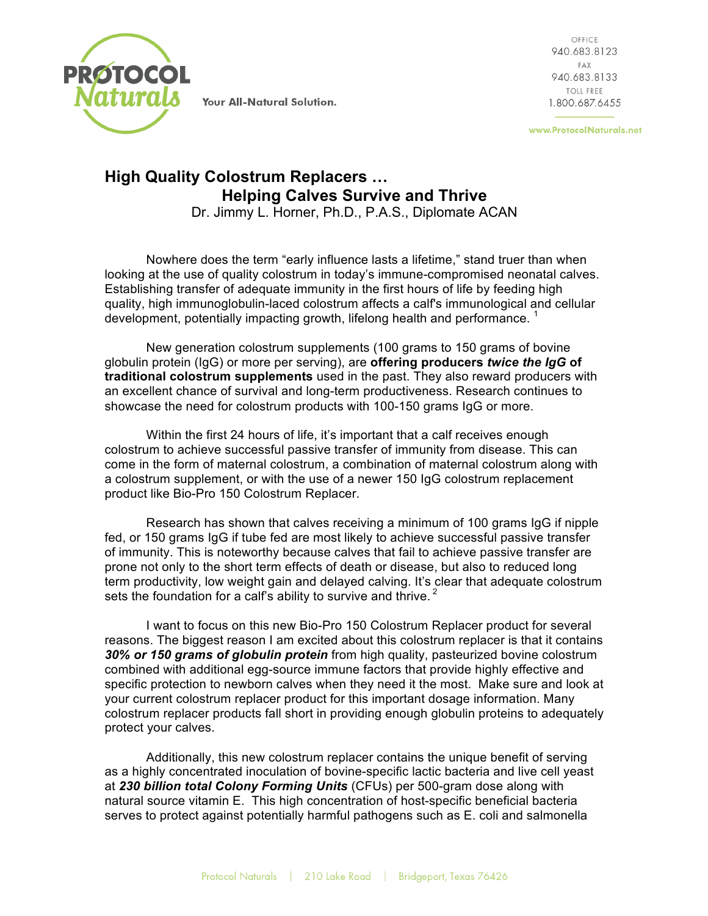

Your All-Natural Solution.

OFFICE 940.683.8123 FAX 940.683.8133 TOLL FREE 1.800.687.6455

www.ProtocolNaturals.net

## **High Quality Colostrum Replacers … Helping Calves Survive and Thrive**

Dr. Jimmy L. Horner, Ph.D., P.A.S., Diplomate ACAN

Nowhere does the term "early influence lasts a lifetime," stand truer than when looking at the use of quality colostrum in today's immune-compromised neonatal calves. Establishing transfer of adequate immunity in the first hours of life by feeding high quality, high immunoglobulin-laced colostrum affects a calf's immunological and cellular development, potentially impacting growth, lifelong health and performance.<sup>1</sup>

New generation colostrum supplements (100 grams to 150 grams of bovine globulin protein (IgG) or more per serving), are **offering producers** *twice the IgG* **of traditional colostrum supplements** used in the past. They also reward producers with an excellent chance of survival and long-term productiveness. Research continues to showcase the need for colostrum products with 100-150 grams IgG or more.

Within the first 24 hours of life, it's important that a calf receives enough colostrum to achieve successful passive transfer of immunity from disease. This can come in the form of maternal colostrum, a combination of maternal colostrum along with a colostrum supplement, or with the use of a newer 150 IgG colostrum replacement product like Bio-Pro 150 Colostrum Replacer.

Research has shown that calves receiving a minimum of 100 grams IgG if nipple fed, or 150 grams IgG if tube fed are most likely to achieve successful passive transfer of immunity. This is noteworthy because calves that fail to achieve passive transfer are prone not only to the short term effects of death or disease, but also to reduced long term productivity, low weight gain and delayed calving. It's clear that adequate colostrum sets the foundation for a calf's ability to survive and thrive.  $2^2$ 

I want to focus on this new Bio-Pro 150 Colostrum Replacer product for several reasons. The biggest reason I am excited about this colostrum replacer is that it contains *30% or 150 grams of globulin protein* from high quality, pasteurized bovine colostrum combined with additional egg-source immune factors that provide highly effective and specific protection to newborn calves when they need it the most. Make sure and look at your current colostrum replacer product for this important dosage information. Many colostrum replacer products fall short in providing enough globulin proteins to adequately protect your calves.

Additionally, this new colostrum replacer contains the unique benefit of serving as a highly concentrated inoculation of bovine-specific lactic bacteria and live cell yeast at *230 billion total Colony Forming Units* (CFUs) per 500-gram dose along with natural source vitamin E. This high concentration of host-specific beneficial bacteria serves to protect against potentially harmful pathogens such as E. coli and salmonella